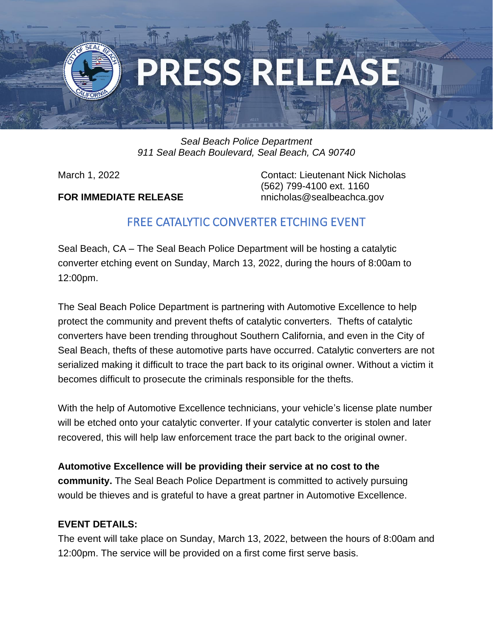

## *Seal Beach Police Department 911 Seal Beach Boulevard, Seal Beach, CA 90740*

**FOR IMMEDIATE RELEASE** nnicholas@sealbeachca.gov

March 1, 2022 Contact: Lieutenant Nick Nicholas (562) 799-4100 ext. 1160

## FREE CATALYTIC CONVERTER ETCHING EVENT

Seal Beach, CA – The Seal Beach Police Department will be hosting a catalytic converter etching event on Sunday, March 13, 2022, during the hours of 8:00am to 12:00pm.

The Seal Beach Police Department is partnering with Automotive Excellence to help protect the community and prevent thefts of catalytic converters. Thefts of catalytic converters have been trending throughout Southern California, and even in the City of Seal Beach, thefts of these automotive parts have occurred. Catalytic converters are not serialized making it difficult to trace the part back to its original owner. Without a victim it becomes difficult to prosecute the criminals responsible for the thefts.

With the help of Automotive Excellence technicians, your vehicle's license plate number will be etched onto your catalytic converter. If your catalytic converter is stolen and later recovered, this will help law enforcement trace the part back to the original owner.

**Automotive Excellence will be providing their service at no cost to the community.** The Seal Beach Police Department is committed to actively pursuing would be thieves and is grateful to have a great partner in Automotive Excellence.

## **EVENT DETAILS:**

The event will take place on Sunday, March 13, 2022, between the hours of 8:00am and 12:00pm. The service will be provided on a first come first serve basis.